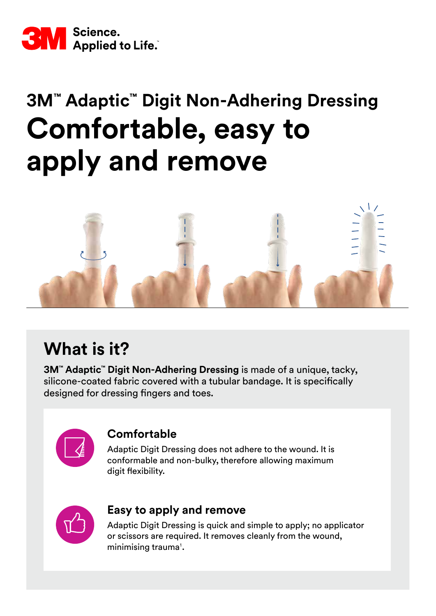

# **3M™ Adaptic™ Digit Non-Adhering Dressing Comfortable, easy to apply and remove**



# **What is it?**

**3M™ Adaptic™ Digit Non-Adhering Dressing** is made of a unique, tacky, silicone-coated fabric covered with a tubular bandage. It is specifically designed for dressing fingers and toes.



### **Comfortable**

Adaptic Digit Dressing does not adhere to the wound. It is conformable and non-bulky, therefore allowing maximum digit flexibility.



### **Easy to apply and remove**

Adaptic Digit Dressing is quick and simple to apply; no applicator or scissors are required. It removes cleanly from the wound, minimising trauma<sup>1</sup>.